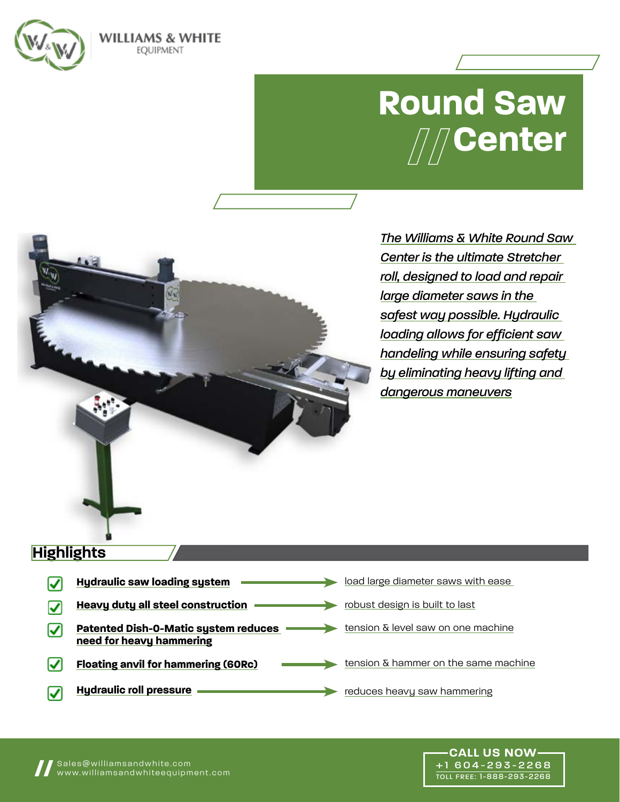

# **Round Saw Center**

*The Williams & White Round Saw Center is the ultimate Stretcher roll, designed to load and repair large diameter saws in the safest way possible. Hydraulic loading allows for efficient saw handeling while ensuring safety by eliminating heavy lifting and dangerous maneuvers*

# **Highlights**

| <b>Hydraulic saw loading system</b>                                     | load large diameter saws with ease   |
|-------------------------------------------------------------------------|--------------------------------------|
| <b>Heavy duty all steel construction</b>                                | robust design is built to last       |
| <b>Patented Dish-O-Matic system reduces</b><br>need for heavy hammering | tension & level saw on one machine   |
| <b>Floating anvil for hammering (60Rc)</b>                              | tension & hammer on the same machine |
| <b>Hydraulic roll pressure</b>                                          | reduces heavy saw hammering          |